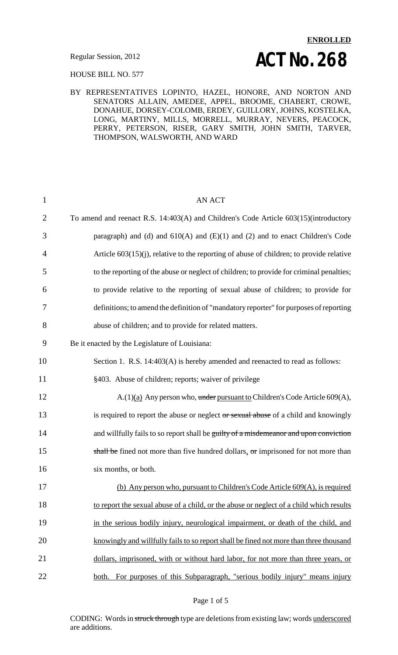# **ENROLLED Regular Session, 2012 ACT NO. 268**

HOUSE BILL NO. 577

#### BY REPRESENTATIVES LOPINTO, HAZEL, HONORE, AND NORTON AND SENATORS ALLAIN, AMEDEE, APPEL, BROOME, CHABERT, CROWE, DONAHUE, DORSEY-COLOMB, ERDEY, GUILLORY, JOHNS, KOSTELKA, LONG, MARTINY, MILLS, MORRELL, MURRAY, NEVERS, PEACOCK, PERRY, PETERSON, RISER, GARY SMITH, JOHN SMITH, TARVER, THOMPSON, WALSWORTH, AND WARD

| $\mathbf{1}$   | <b>AN ACT</b>                                                                              |
|----------------|--------------------------------------------------------------------------------------------|
| $\overline{2}$ | To amend and reenact R.S. 14:403(A) and Children's Code Article 603(15)(introductory       |
| 3              | paragraph) and (d) and $610(A)$ and $(E)(1)$ and $(2)$ and to enact Children's Code        |
| 4              | Article $603(15)(i)$ , relative to the reporting of abuse of children; to provide relative |
| 5              | to the reporting of the abuse or neglect of children; to provide for criminal penalties;   |
| 6              | to provide relative to the reporting of sexual abuse of children; to provide for           |
| 7              | definitions; to amend the definition of "mandatory reporter" for purposes of reporting     |
| 8              | abuse of children; and to provide for related matters.                                     |
| 9              | Be it enacted by the Legislature of Louisiana:                                             |
| 10             | Section 1. R.S. 14:403(A) is hereby amended and reenacted to read as follows:              |
| 11             | §403. Abuse of children; reports; waiver of privilege                                      |
| 12             | $A(1)(a)$ Any person who, under pursuant to Children's Code Article 609(A),                |
| 13             | is required to report the abuse or neglect or sexual abuse of a child and knowingly        |
| 14             | and willfully fails to so report shall be guilty of a misdemeanor and upon conviction      |
| 15             | shall be fined not more than five hundred dollars, or imprisoned for not more than         |
| 16             | six months, or both.                                                                       |
| 17             | (b) Any person who, pursuant to Children's Code Article 609(A), is required                |
| 18             | to report the sexual abuse of a child, or the abuse or neglect of a child which results    |
| 19             | in the serious bodily injury, neurological impairment, or death of the child, and          |
| 20             | knowingly and willfully fails to so report shall be fined not more than three thousand     |
| 21             | dollars, imprisoned, with or without hard labor, for not more than three years, or         |
| 22             | both. For purposes of this Subparagraph, "serious bodily injury" means injury              |

#### Page 1 of 5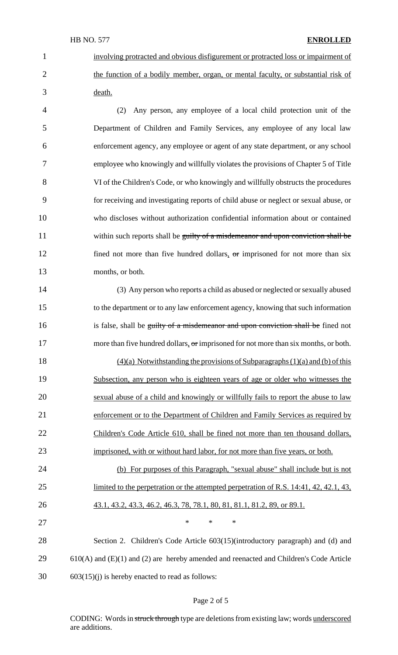#### HB NO. 577 **ENROLLED**

 involving protracted and obvious disfigurement or protracted loss or impairment of 2 the function of a bodily member, organ, or mental faculty, or substantial risk of death.

 (2) Any person, any employee of a local child protection unit of the Department of Children and Family Services, any employee of any local law enforcement agency, any employee or agent of any state department, or any school employee who knowingly and willfully violates the provisions of Chapter 5 of Title VI of the Children's Code, or who knowingly and willfully obstructs the procedures for receiving and investigating reports of child abuse or neglect or sexual abuse, or who discloses without authorization confidential information about or contained 11 within such reports shall be guilty of a misdemeanor and upon conviction shall be 12 fined not more than five hundred dollars, or imprisoned for not more than six months, or both.

 (3) Any person who reports a child as abused or neglected or sexually abused to the department or to any law enforcement agency, knowing that such information 16 is false, shall be guilty of a misdemeanor and upon conviction shall be fined not 17 more than five hundred dollars, or imprisoned for not more than six months, or both.

 (4)(a) Notwithstanding the provisions of Subparagraphs (1)(a) and (b) of this Subsection, any person who is eighteen years of age or older who witnesses the sexual abuse of a child and knowingly or willfully fails to report the abuse to law enforcement or to the Department of Children and Family Services as required by 22 Children's Code Article 610, shall be fined not more than ten thousand dollars, 23 imprisoned, with or without hard labor, for not more than five years, or both.

 (b) For purposes of this Paragraph, "sexual abuse" shall include but is not 25 limited to the perpetration or the attempted perpetration of R.S. 14:41, 42, 42.1, 43, 43.1, 43.2, 43.3, 46.2, 46.3, 78, 78.1, 80, 81, 81.1, 81.2, 89, or 89.1.  $\qquad \qquad \ast \qquad \ast \qquad \ast$ 

 Section 2. Children's Code Article 603(15)(introductory paragraph) and (d) and 29 610(A) and (E)(1) and (2) are hereby amended and reenacted and Children's Code Article 603(15)(j) is hereby enacted to read as follows:

#### Page 2 of 5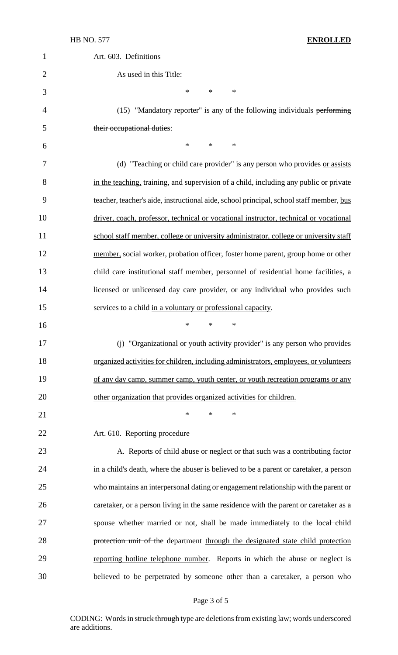#### HB NO. 577 **ENROLLED**

| $\mathbf 1$    | Art. 603. Definitions                                                                   |
|----------------|-----------------------------------------------------------------------------------------|
| $\overline{2}$ | As used in this Title:                                                                  |
| 3              | $\ast$<br>$\ast$<br>$\ast$                                                              |
| 4              | (15) "Mandatory reporter" is any of the following individuals performing                |
| 5              | their occupational duties:                                                              |
| 6              | $\ast$<br>$\ast$<br>∗                                                                   |
| 7              | (d) "Teaching or child care provider" is any person who provides or assists             |
| 8              | in the teaching, training, and supervision of a child, including any public or private  |
| 9              | teacher, teacher's aide, instructional aide, school principal, school staff member, bus |
| 10             | driver, coach, professor, technical or vocational instructor, technical or vocational   |
| 11             | school staff member, college or university administrator, college or university staff   |
| 12             | member, social worker, probation officer, foster home parent, group home or other       |
| 13             | child care institutional staff member, personnel of residential home facilities, a      |
| 14             | licensed or unlicensed day care provider, or any individual who provides such           |
| 15             | services to a child in a voluntary or professional capacity.                            |
| 16             | $\ast$<br>∗<br>∗                                                                        |
| 17             | (i) "Organizational or youth activity provider" is any person who provides              |
| 18             | organized activities for children, including administrators, employees, or volunteers   |
| 19             | of any day camp, summer camp, youth center, or youth recreation programs or any         |
| 20             | other organization that provides organized activities for children.                     |
| 21             | *<br>∗<br>∗                                                                             |
| 22             | Art. 610. Reporting procedure                                                           |
| 23             | A. Reports of child abuse or neglect or that such was a contributing factor             |
| 24             | in a child's death, where the abuser is believed to be a parent or caretaker, a person  |
| 25             | who maintains an interpersonal dating or engagement relationship with the parent or     |
| 26             | caretaker, or a person living in the same residence with the parent or caretaker as a   |
| 27             | spouse whether married or not, shall be made immediately to the local child             |
| 28             | protection unit of the department through the designated state child protection         |
| 29             | reporting hotline telephone number. Reports in which the abuse or neglect is            |
| 30             | believed to be perpetrated by someone other than a caretaker, a person who              |

# Page 3 of 5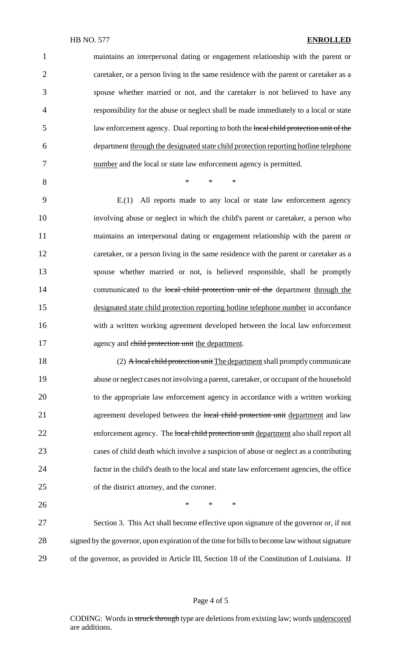| $\mathbf{1}$   | maintains an interpersonal dating or engagement relationship with the parent or               |
|----------------|-----------------------------------------------------------------------------------------------|
| $\overline{2}$ | caretaker, or a person living in the same residence with the parent or caretaker as a         |
| 3              | spouse whether married or not, and the caretaker is not believed to have any                  |
| $\overline{4}$ | responsibility for the abuse or neglect shall be made immediately to a local or state         |
| 5              | law enforcement agency. Dual reporting to both the local child protection unit of the         |
| 6              | department through the designated state child protection reporting hotline telephone          |
| 7              | number and the local or state law enforcement agency is permitted.                            |
| 8              | $\ast$<br>$\ast$<br>$\ast$                                                                    |
| 9              | E.(1) All reports made to any local or state law enforcement agency                           |
| 10             | involving abuse or neglect in which the child's parent or caretaker, a person who             |
| 11             | maintains an interpersonal dating or engagement relationship with the parent or               |
| 12             | caretaker, or a person living in the same residence with the parent or caretaker as a         |
| 13             | spouse whether married or not, is believed responsible, shall be promptly                     |
| 14             | communicated to the local child protection unit of the department through the                 |
| 15             | designated state child protection reporting hotline telephone number in accordance            |
| 16             | with a written working agreement developed between the local law enforcement                  |
| 17             | agency and child protection unit the department.                                              |
| 18             | (2) A local child protection unit The department shall promptly communicate                   |
| 19             | abuse or neglect cases not involving a parent, caretaker, or occupant of the household        |
| 20             | to the appropriate law enforcement agency in accordance with a written working                |
| 21             | agreement developed between the local child protection unit department and law                |
| 22             | enforcement agency. The local child protection unit department also shall report all          |
| 23             | cases of child death which involve a suspicion of abuse or neglect as a contributing          |
| 24             | factor in the child's death to the local and state law enforcement agencies, the office       |
| 25             | of the district attorney, and the coroner.                                                    |
| 26             | $\ast$<br>$\ast$<br>$\ast$                                                                    |
| 27             | Section 3. This Act shall become effective upon signature of the governor or, if not          |
| 28             | signed by the governor, upon expiration of the time for bills to become law without signature |
| 29             | of the governor, as provided in Article III, Section 18 of the Constitution of Louisiana. If  |

# Page 4 of 5